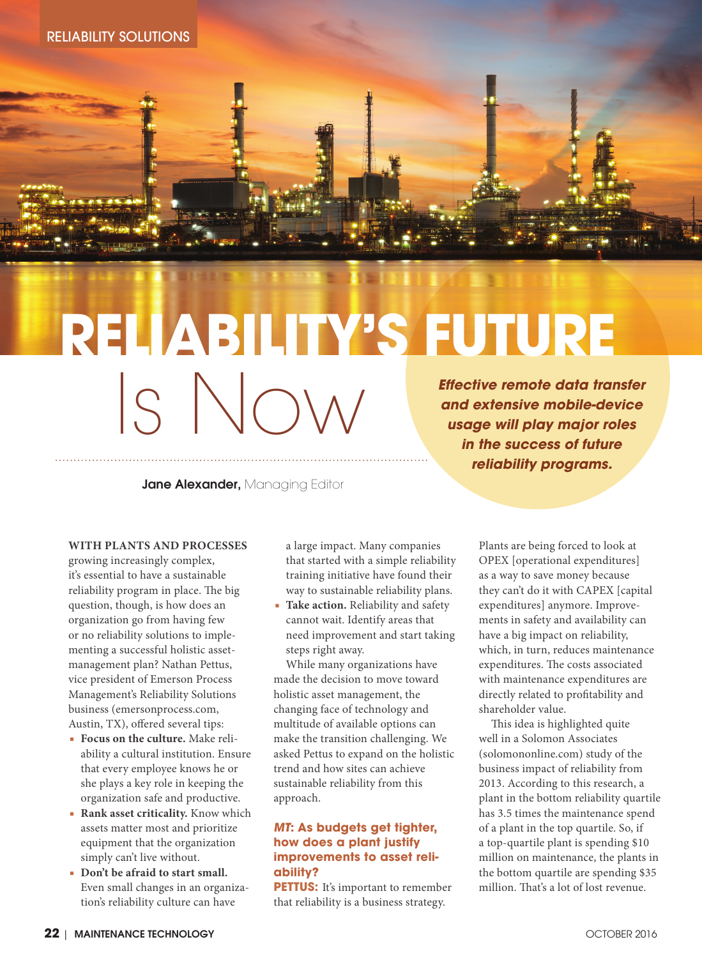

# *Effective remote data transfer and extensive mobile-device*  **RELIABILITY'S FUTURE** Is Now

Jane Alexander, Managing Editor

*usage will play major roles in the success of future reliability programs.*

#### **WITH PLANTS AND PROCESSES**

growing increasingly complex, it's essential to have a sustainable reliability program in place. The big question, though, is how does an organization go from having few or no reliability solutions to implementing a successful holistic assetmanagement plan? Nathan Pettus, vice president of Emerson Process Management's Reliability Solutions business (emersonprocess.com, Austin, TX), offered several tips:

- **Focus on the culture.** Make reliability a cultural institution. Ensure that every employee knows he or she plays a key role in keeping the organization safe and productive.
- **Rank asset criticality.** Know which assets matter most and prioritize equipment that the organization simply can't live without.
- **Don't be afraid to start small.** Even small changes in an organization's reliability culture can have

a large impact. Many companies that started with a simple reliability training initiative have found their way to sustainable reliability plans.

**Take action.** Reliability and safety cannot wait. Identify areas that need improvement and start taking steps right away.

While many organizations have made the decision to move toward holistic asset management, the changing face of technology and multitude of available options can make the transition challenging. We asked Pettus to expand on the holistic trend and how sites can achieve sustainable reliability from this approach.

# **MT: As budgets get tighter, how does a plant justify improvements to asset reliability?**

**PETTUS:** It's important to remember that reliability is a business strategy.

Plants are being forced to look at OPEX [operational expenditures] as a way to save money because they can't do it with CAPEX [capital expenditures] anymore. Improvements in safety and availability can have a big impact on reliability, which, in turn, reduces maintenance expenditures. The costs associated with maintenance expenditures are directly related to profitability and shareholder value.

This idea is highlighted quite well in a Solomon Associates (solomononline.com) study of the business impact of reliability from 2013. According to this research, a plant in the bottom reliability quartile has 3.5 times the maintenance spend of a plant in the top quartile. So, if a top-quartile plant is spending \$10 million on maintenance, the plants in the bottom quartile are spending \$35 million. That's a lot of lost revenue.